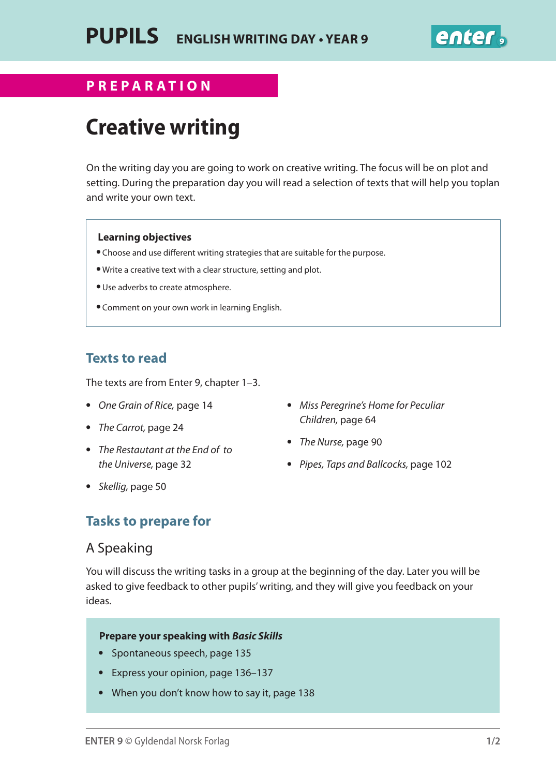

### **Preparation for English writing day Year 9 PREPARATION**

# **Creative writing**

On the writing day you are going to work on creative writing. The focus will be on plot and setting. During the preparation day you will read a selection of texts that will help you toplan and write your own text.

#### **Learning objectives**

- Choose and use different writing strategies that are suitable for the purpose.
- Write a creative text with a clear structure, setting and plot.
- Use adverbs to create atmosphere.
- Comment on your own work in learning English.

## **Texts to read**

The texts are from Enter 9, chapter 1–3.

- *One Grain of Rice,* page 14
- *The Carrot,* page 24
- *The Restautant at the End of to the Universe,* page 32
- *Miss Peregrine's Home for Peculiar Children,* page 64
- *The Nurse,* page 90
- *Pipes, Taps and Ballcocks,* page 102

**•** *Skellig,* page 50

## **Tasks to prepare for**

## A Speaking

You will discuss the writing tasks in a group at the beginning of the day. Later you will be asked to give feedback to other pupils' writing, and they will give you feedback on your ideas.

#### **Prepare your speaking with** *Basic Skills*

- Spontaneous speech, page 135
- Express your opinion, page 136–137
- When you don't know how to say it, page 138